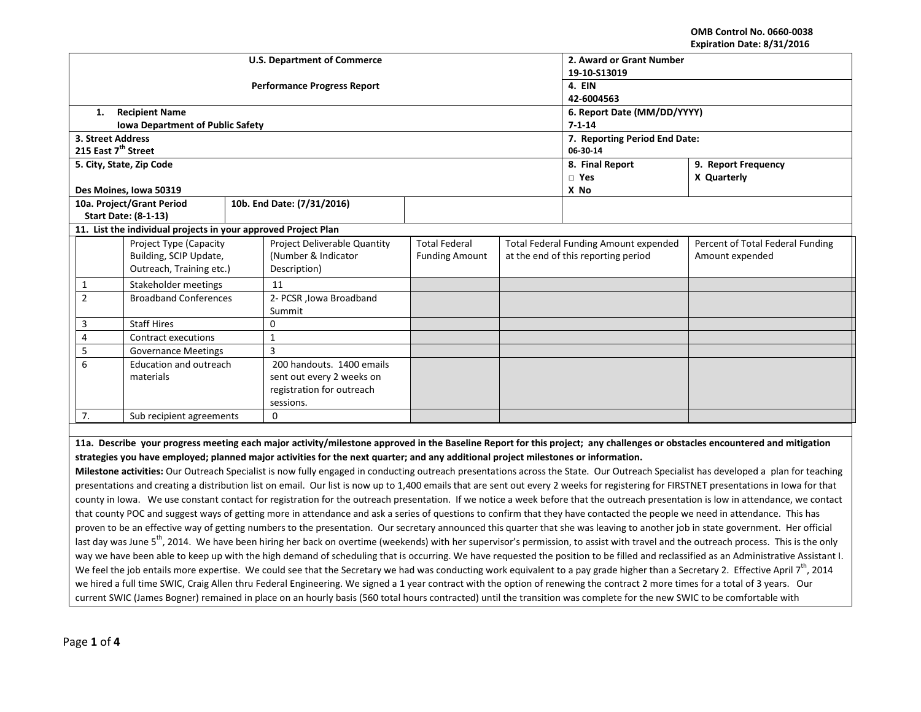**OMB Control No. 0660-0038 Expiration Date: 8/31/2016**

|                                                                                                                                                                                     |                                                                                                                                                                                         |                                                                |              |                                                                                                                                                                             |                             |          |                                              | EXPII dUUII DALE. 0/31/2010      |  |
|-------------------------------------------------------------------------------------------------------------------------------------------------------------------------------------|-----------------------------------------------------------------------------------------------------------------------------------------------------------------------------------------|----------------------------------------------------------------|--------------|-----------------------------------------------------------------------------------------------------------------------------------------------------------------------------|-----------------------------|----------|----------------------------------------------|----------------------------------|--|
| <b>U.S. Department of Commerce</b>                                                                                                                                                  |                                                                                                                                                                                         |                                                                |              |                                                                                                                                                                             |                             |          | 2. Award or Grant Number                     |                                  |  |
|                                                                                                                                                                                     |                                                                                                                                                                                         |                                                                |              |                                                                                                                                                                             |                             |          | 19-10-S13019                                 |                                  |  |
|                                                                                                                                                                                     |                                                                                                                                                                                         |                                                                |              | <b>Performance Progress Report</b>                                                                                                                                          | 4. EIN                      |          |                                              |                                  |  |
|                                                                                                                                                                                     |                                                                                                                                                                                         |                                                                |              |                                                                                                                                                                             | 42-6004563                  |          |                                              |                                  |  |
|                                                                                                                                                                                     | 1.                                                                                                                                                                                      | <b>Recipient Name</b>                                          |              |                                                                                                                                                                             | 6. Report Date (MM/DD/YYYY) |          |                                              |                                  |  |
|                                                                                                                                                                                     |                                                                                                                                                                                         | <b>Iowa Department of Public Safety</b>                        | $7 - 1 - 14$ |                                                                                                                                                                             |                             |          |                                              |                                  |  |
|                                                                                                                                                                                     | 3. Street Address                                                                                                                                                                       |                                                                |              | 7. Reporting Period End Date:                                                                                                                                               |                             |          |                                              |                                  |  |
|                                                                                                                                                                                     | 215 East 7 <sup>th</sup> Street                                                                                                                                                         |                                                                |              |                                                                                                                                                                             |                             | 06-30-14 |                                              |                                  |  |
|                                                                                                                                                                                     |                                                                                                                                                                                         | 5. City, State, Zip Code                                       |              |                                                                                                                                                                             |                             |          | 8. Final Report                              | 9. Report Frequency              |  |
|                                                                                                                                                                                     |                                                                                                                                                                                         |                                                                |              |                                                                                                                                                                             |                             |          | $\Box$ Yes                                   | X Quarterly                      |  |
|                                                                                                                                                                                     |                                                                                                                                                                                         | Des Moines, Iowa 50319                                         |              |                                                                                                                                                                             |                             |          | X No                                         |                                  |  |
|                                                                                                                                                                                     |                                                                                                                                                                                         | 10a. Project/Grant Period                                      |              | 10b. End Date: (7/31/2016)                                                                                                                                                  |                             |          |                                              |                                  |  |
|                                                                                                                                                                                     |                                                                                                                                                                                         | <b>Start Date: (8-1-13)</b>                                    |              |                                                                                                                                                                             |                             |          |                                              |                                  |  |
|                                                                                                                                                                                     |                                                                                                                                                                                         | 11. List the individual projects in your approved Project Plan |              |                                                                                                                                                                             |                             |          |                                              |                                  |  |
|                                                                                                                                                                                     |                                                                                                                                                                                         | Project Type (Capacity                                         |              | Project Deliverable Quantity                                                                                                                                                | <b>Total Federal</b>        |          | <b>Total Federal Funding Amount expended</b> | Percent of Total Federal Funding |  |
|                                                                                                                                                                                     |                                                                                                                                                                                         | Building, SCIP Update,                                         |              | (Number & Indicator                                                                                                                                                         | <b>Funding Amount</b>       |          | at the end of this reporting period          | Amount expended                  |  |
|                                                                                                                                                                                     | Outreach, Training etc.)                                                                                                                                                                |                                                                |              | Description)                                                                                                                                                                |                             |          |                                              |                                  |  |
|                                                                                                                                                                                     | $\mathbf{1}$                                                                                                                                                                            | Stakeholder meetings                                           |              | 11                                                                                                                                                                          |                             |          |                                              |                                  |  |
|                                                                                                                                                                                     | $\overline{2}$<br><b>Broadband Conferences</b>                                                                                                                                          |                                                                |              | 2- PCSR , Iowa Broadband                                                                                                                                                    |                             |          |                                              |                                  |  |
|                                                                                                                                                                                     |                                                                                                                                                                                         |                                                                |              | Summit                                                                                                                                                                      |                             |          |                                              |                                  |  |
| <b>Staff Hires</b><br>3                                                                                                                                                             |                                                                                                                                                                                         |                                                                |              | $\Omega$                                                                                                                                                                    |                             |          |                                              |                                  |  |
|                                                                                                                                                                                     | $\overline{4}$                                                                                                                                                                          | <b>Contract executions</b>                                     |              | $\mathbf{1}$                                                                                                                                                                |                             |          |                                              |                                  |  |
|                                                                                                                                                                                     | 5<br><b>Governance Meetings</b>                                                                                                                                                         |                                                                |              | $\overline{3}$                                                                                                                                                              |                             |          |                                              |                                  |  |
|                                                                                                                                                                                     | 6<br>Education and outreach                                                                                                                                                             |                                                                |              | 200 handouts. 1400 emails                                                                                                                                                   |                             |          |                                              |                                  |  |
|                                                                                                                                                                                     |                                                                                                                                                                                         | materials                                                      |              | sent out every 2 weeks on                                                                                                                                                   |                             |          |                                              |                                  |  |
|                                                                                                                                                                                     |                                                                                                                                                                                         |                                                                |              | registration for outreach                                                                                                                                                   |                             |          |                                              |                                  |  |
|                                                                                                                                                                                     |                                                                                                                                                                                         |                                                                |              | sessions.                                                                                                                                                                   |                             |          |                                              |                                  |  |
| 7.<br>$\Omega$<br>Sub recipient agreements                                                                                                                                          |                                                                                                                                                                                         |                                                                |              |                                                                                                                                                                             |                             |          |                                              |                                  |  |
|                                                                                                                                                                                     |                                                                                                                                                                                         |                                                                |              |                                                                                                                                                                             |                             |          |                                              |                                  |  |
| 11a. Describe your progress meeting each major activity/milestone approved in the Baseline Report for this project; any challenges or obstacles encountered and mitigation          |                                                                                                                                                                                         |                                                                |              |                                                                                                                                                                             |                             |          |                                              |                                  |  |
| strategies you have employed; planned major activities for the next quarter; and any additional project milestones or information.                                                  |                                                                                                                                                                                         |                                                                |              |                                                                                                                                                                             |                             |          |                                              |                                  |  |
| Milestone activities: Our Outreach Specialist is now fully engaged in conducting outreach presentations across the State. Our Outreach Specialist has developed a plan for teaching |                                                                                                                                                                                         |                                                                |              |                                                                                                                                                                             |                             |          |                                              |                                  |  |
|                                                                                                                                                                                     | presentations and creating a distribution list on email. Our list is now up to 1,400 emails that are sent out every 2 weeks for registering for FIRSTNET presentations in lowa for that |                                                                |              |                                                                                                                                                                             |                             |          |                                              |                                  |  |
|                                                                                                                                                                                     | county in Iowa. We use constant contact for registration for the outreach presentation. If we notice a week before that the outreach presentation is low in attendance, we contact      |                                                                |              |                                                                                                                                                                             |                             |          |                                              |                                  |  |
|                                                                                                                                                                                     |                                                                                                                                                                                         |                                                                |              | that county POC and suggest ways of getting more in attendance and ask a series of questions to confirm that they have contacted the people we need in attendance. This has |                             |          |                                              |                                  |  |
|                                                                                                                                                                                     |                                                                                                                                                                                         |                                                                |              |                                                                                                                                                                             |                             |          |                                              |                                  |  |
|                                                                                                                                                                                     | proven to be an effective way of getting numbers to the presentation. Our secretary announced this quarter that she was leaving to another job in state government. Her official        |                                                                |              |                                                                                                                                                                             |                             |          |                                              |                                  |  |

last day was June 5<sup>th</sup>, 2014. We have been hiring her back on overtime (weekends) with her supervisor's permission, to assist with travel and the outreach process. This is the only way we have been able to keep up with the high demand of scheduling that is occurring. We have requested the position to be filled and reclassified as an Administrative Assistant I. We feel the job entails more expertise. We could see that the Secretary we had was conducting work equivalent to a pay grade higher than a Secretary 2. Effective April 7<sup>th</sup>, 2014 we hired a full time SWIC, Craig Allen thru Federal Engineering. We signed a 1 year contract with the option of renewing the contract 2 more times for a total of 3 years. Our current SWIC (James Bogner) remained in place on an hourly basis (560 total hours contracted) until the transition was complete for the new SWIC to be comfortable with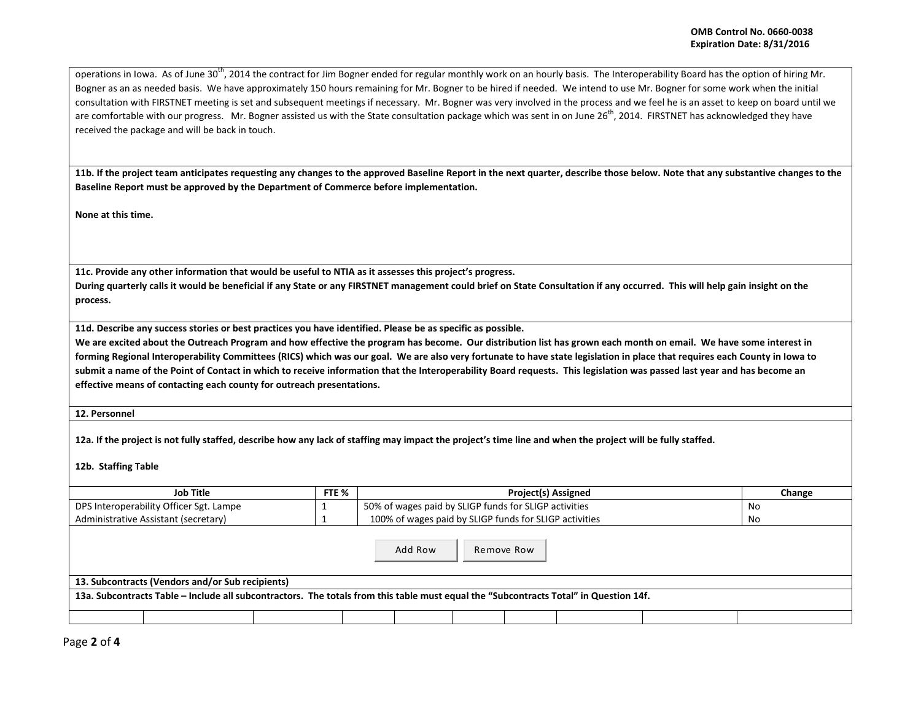operations in Iowa. As of June 30<sup>th</sup>, 2014 the contract for Jim Bogner ended for regular monthly work on an hourly basis. The Interoperability Board has the option of hiring Mr. Bogner as an as needed basis. We have approximately 150 hours remaining for Mr. Bogner to be hired if needed. We intend to use Mr. Bogner for some work when the initial consultation with FIRSTNET meeting is set and subsequent meetings if necessary. Mr. Bogner was very involved in the process and we feel he is an asset to keep on board until we are comfortable with our progress. Mr. Bogner assisted us with the State consultation package which was sent in on June 26<sup>th</sup>, 2014. FIRSTNET has acknowledged they have received the package and will be back in touch.

**11b. If the project team anticipates requesting any changes to the approved Baseline Report in the next quarter, describe those below. Note that any substantive changes to the Baseline Report must be approved by the Department of Commerce before implementation.** 

**None at this time.**

**11c. Provide any other information that would be useful to NTIA as it assesses this project's progress.** 

**During quarterly calls it would be beneficial if any State or any FIRSTNET management could brief on State Consultation if any occurred. This will help gain insight on the process.** 

**11d. Describe any success stories or best practices you have identified. Please be as specific as possible.**

We are excited about the Outreach Program and how effective the program has become. Our distribution list has grown each month on email. We have some interest in **forming Regional Interoperability Committees (RICS) which was our goal. We are also very fortunate to have state legislation in place that requires each County in Iowa to submit a name of the Point of Contact in which to receive information that the Interoperability Board requests. This legislation was passed last year and has become an effective means of contacting each county for outreach presentations.** 

**12. Personnel** 

**12a. If the project is not fully staffed, describe how any lack of staffing may impact the project's time line and when the project will be fully staffed.**

**12b. Staffing Table**

| Job Title                                                                                                                             |  | <b>Project(s) Assigned</b>                             | Change |  |  |  |  |
|---------------------------------------------------------------------------------------------------------------------------------------|--|--------------------------------------------------------|--------|--|--|--|--|
| DPS Interoperability Officer Sgt. Lampe                                                                                               |  | 50% of wages paid by SLIGP funds for SLIGP activities  | No     |  |  |  |  |
| Administrative Assistant (secretary)                                                                                                  |  | 100% of wages paid by SLIGP funds for SLIGP activities | No     |  |  |  |  |
| Add Row<br>Remove Row                                                                                                                 |  |                                                        |        |  |  |  |  |
| 13. Subcontracts (Vendors and/or Sub recipients)                                                                                      |  |                                                        |        |  |  |  |  |
| 13a. Subcontracts Table - Include all subcontractors. The totals from this table must equal the "Subcontracts Total" in Question 14f. |  |                                                        |        |  |  |  |  |
|                                                                                                                                       |  |                                                        |        |  |  |  |  |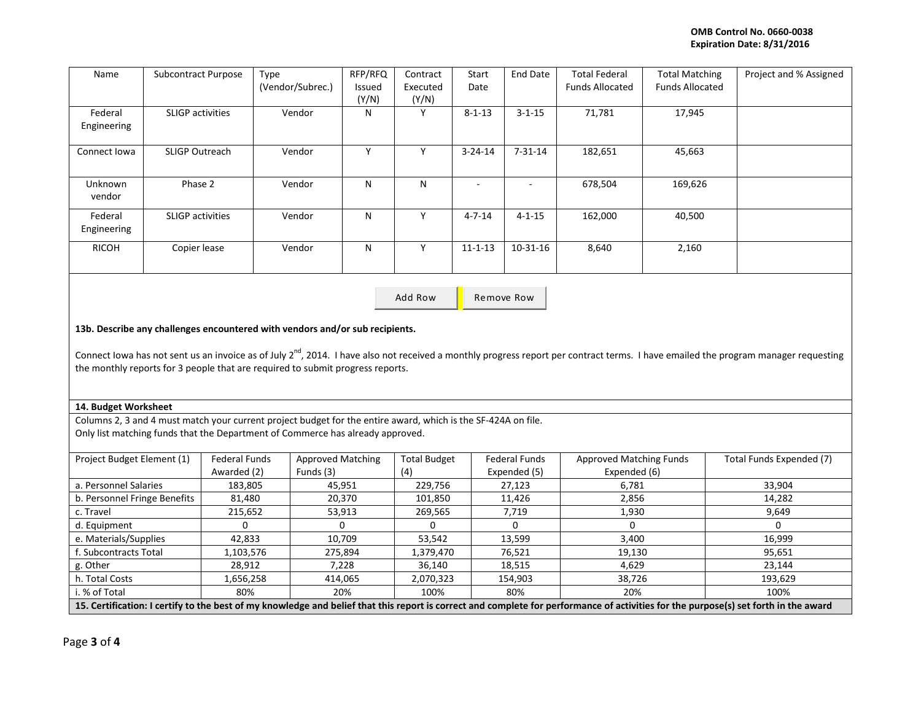| Name         | <b>Subcontract Purpose</b> | Type             | RFP/RFQ | Contract | Start                    | End Date                 | <b>Total Federal</b>   | <b>Total Matching</b>  | Project and % Assigned |
|--------------|----------------------------|------------------|---------|----------|--------------------------|--------------------------|------------------------|------------------------|------------------------|
|              |                            | (Vendor/Subrec.) | Issued  | Executed | Date                     |                          | <b>Funds Allocated</b> | <b>Funds Allocated</b> |                        |
|              |                            |                  | (Y/N)   | (Y/N)    |                          |                          |                        |                        |                        |
| Federal      | <b>SLIGP</b> activities    | Vendor           | N       |          | $8 - 1 - 13$             | $3 - 1 - 15$             | 71,781                 | 17,945                 |                        |
| Engineering  |                            |                  |         |          |                          |                          |                        |                        |                        |
|              |                            |                  |         |          |                          |                          |                        |                        |                        |
| Connect Iowa | <b>SLIGP Outreach</b>      | Vendor           | N       |          | $3 - 24 - 14$            | $7 - 31 - 14$            | 182,651                | 45,663                 |                        |
|              |                            |                  |         |          |                          |                          |                        |                        |                        |
| Unknown      | Phase 2                    | Vendor           | N       | N        | $\overline{\phantom{a}}$ | $\overline{\phantom{a}}$ | 678,504                | 169,626                |                        |
| vendor       |                            |                  |         |          |                          |                          |                        |                        |                        |
| Federal      | <b>SLIGP</b> activities    | Vendor           | N       |          | $4 - 7 - 14$             | $4 - 1 - 15$             | 162,000                | 40,500                 |                        |
| Engineering  |                            |                  |         |          |                          |                          |                        |                        |                        |
| RICOH        | Copier lease               | Vendor           | N       | ν        | $11 - 1 - 13$            | $10-31-16$               | 8,640                  | 2,160                  |                        |
|              |                            |                  |         |          |                          |                          |                        |                        |                        |
|              |                            |                  |         |          |                          |                          |                        |                        |                        |

Add Row **Remove Row** 

## **13b. Describe any challenges encountered with vendors and/or sub recipients.**

Connect Iowa has not sent us an invoice as of July  $2^{nd}$ , 2014. I have also not received a monthly progress report per contract terms. I have emailed the program manager requesting the monthly reports for 3 people that are required to submit progress reports.

## **14. Budget Worksheet**

Columns 2, 3 and 4 must match your current project budget for the entire award, which is the SF-424A on file.

Only list matching funds that the Department of Commerce has already approved.

| Project Budget Element (1)                                                                                                                                                           | Federal Funds | <b>Approved Matching</b> | <b>Total Budget</b> | <b>Federal Funds</b> | <b>Approved Matching Funds</b> | Total Funds Expended (7) |
|--------------------------------------------------------------------------------------------------------------------------------------------------------------------------------------|---------------|--------------------------|---------------------|----------------------|--------------------------------|--------------------------|
|                                                                                                                                                                                      | Awarded (2)   | Funds (3)                | (4)                 | Expended (5)         | Expended (6)                   |                          |
| a. Personnel Salaries                                                                                                                                                                | 183,805       | 45,951                   | 229,756             | 27,123               | 6,781                          | 33,904                   |
| b. Personnel Fringe Benefits                                                                                                                                                         | 81,480        | 20,370                   | 101,850             | 11,426               | 2,856                          | 14,282                   |
| c. Travel                                                                                                                                                                            | 215,652       | 53,913                   | 269,565             | 7,719                | 1,930                          | 9,649                    |
| d. Equipment                                                                                                                                                                         |               |                          |                     |                      |                                |                          |
| e. Materials/Supplies                                                                                                                                                                | 42.833        | 10.709                   | 53.542              | 13.599               | 3.400                          | 16.999                   |
| f. Subcontracts Total                                                                                                                                                                | 1,103,576     | 275,894                  | 1,379,470           | 76,521               | 19,130                         | 95,651                   |
| g. Other                                                                                                                                                                             | 28,912        | 7,228                    | 36.140              | 18.515               | 4.629                          | 23.144                   |
| h. Total Costs                                                                                                                                                                       | 1,656,258     | 414,065                  | 2,070,323           | 154,903              | 38,726                         | 193,629                  |
| i. % of Total                                                                                                                                                                        | 80%           | 20%                      | 100%                | 80%                  | 20%                            | 100%                     |
| 15. Certification: I certify to the best of my knowledge and belief that this report is correct and complete for performance of activities for the purpose(s) set forth in the award |               |                          |                     |                      |                                |                          |